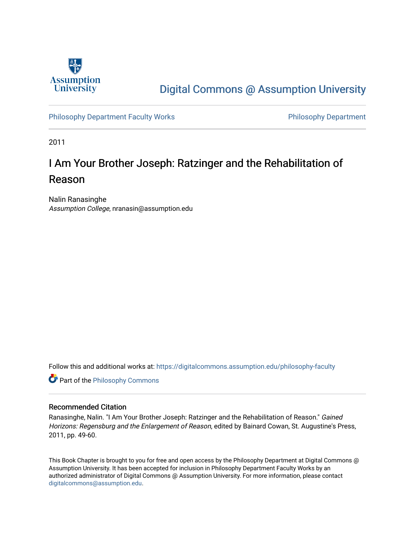

## [Digital Commons @ Assumption University](https://digitalcommons.assumption.edu/)

[Philosophy Department Faculty Works](https://digitalcommons.assumption.edu/philosophy-faculty) **Philosophy Department** 

2011

# I Am Your Brother Joseph: Ratzinger and the Rehabilitation of Reason

Nalin Ranasinghe Assumption College, nranasin@assumption.edu

Follow this and additional works at: [https://digitalcommons.assumption.edu/philosophy-faculty](https://digitalcommons.assumption.edu/philosophy-faculty?utm_source=digitalcommons.assumption.edu%2Fphilosophy-faculty%2F9&utm_medium=PDF&utm_campaign=PDFCoverPages) 

**Part of the Philosophy Commons** 

## Recommended Citation

Ranasinghe, Nalin. "I Am Your Brother Joseph: Ratzinger and the Rehabilitation of Reason." Gained Horizons: Regensburg and the Enlargement of Reason, edited by Bainard Cowan, St. Augustine's Press, 2011, pp. 49-60.

This Book Chapter is brought to you for free and open access by the Philosophy Department at Digital Commons @ Assumption University. It has been accepted for inclusion in Philosophy Department Faculty Works by an authorized administrator of Digital Commons @ Assumption University. For more information, please contact [digitalcommons@assumption.edu](mailto:digitalcommons@assumption.edu).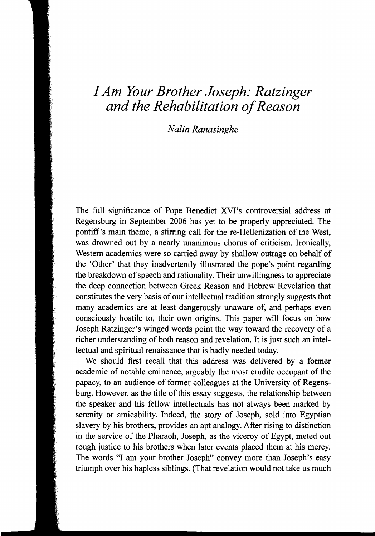## I *Am Your Brother Joseph: Ratzinger and the Rehabilitation of Reason*

*Na/in Ranasinghe* 

The full significance of Pope Benedict XVI's controversial address at Regensburg in September 2006 has yet to be properly appreciated. The pontiff's main theme, a stirring call for the re-Hellenization of the West, was drowned out by a nearly unanimous chorus of criticism. Ironically, Western academics were so carried away by shallow outrage on behalf of the 'Other' that they inadvertently illustrated the pope's point regarding the breakdown of speech and rationality. Their unwillingness to appreciate the deep connection between Greek Reason and Hebrew Revelation that constitutes the very basis of our intellectual tradition strongly suggests that many academics are at least dangerously unaware of, and perhaps even consciously hostile to, their own origins. This paper will focus on how Joseph Ratzinger 's winged words point the way toward the recovery of a richer understanding of both reason and revelation. It is just such an intellectual and spiritual renaissance that is badly needed today.

We should first recall that this address was delivered by a former academic of notable eminence, arguably the most erudite occupant of the papacy, to an audience of former colleagues at the University of Regensburg. However, as the title of this essay suggests, the relationship between the speaker and his fellow intellectuals has not always been marked by serenity or amicability. Indeed, the story of Joseph, sold into Egyptian slavery by his brothers, provides an apt analogy. After rising to distinction in the service of the Pharaoh, Joseph, as the viceroy of Egypt, meted out rough justice to his brothers when later events placed them at his mercy. The words "I am your brother Joseph" convey more than Joseph's easy triumph over his hapless siblings. (That revelation would not take us much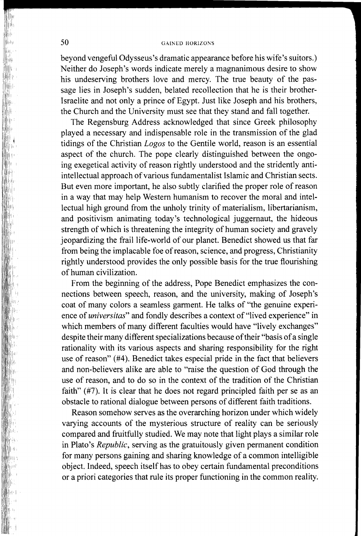beyond vengeful Odysseus's dramatic appearance before his wife's suitors.) Neither do Joseph's words indicate merely a magnanimous desire to show his undeserving brothers love and mercy. The true beauty of the passage lies in Joseph's sudden, belated recollection that he is their brother-Israelite and not only a prince of Egypt. Just like Joseph and his brothers, the Church and the University must see that they stand and fall together.

The Regensburg Address acknowledged that since Greek philosophy played a necessary and indispensable role in the transmission of the glad tidings of the Christian *Logos* to the Gentile world, reason is an essential aspect of the church. The pope clearly distinguished between the ongoing exegetical activity of reason rightly understood and the stridently antiintellectual approach of various fundamentalist Islamic and Christian sects. But even more important, he also subtly clarified the proper role of reason in a way that may help Western humanism to recover the moral and intellectual high ground from the unholy trinity of materialism, libertarianism, and positivism animating today's technological juggernaut, the hideous strength of which is threatening the integrity of human society and gravely jeopardizing the frail life-world of our planet. Benedict showed us that far from being the implacable foe of reason, science, and progress, Christianity rightly understood provides the only possible basis for the true flourishing of human civilization.

From the beginning of the address, Pope Benedict emphasizes the connections between speech, reason, and the university, making of Joseph's coat of many colors a seamless garment. He talks of "the genuine experience of *universitas"* and fondly describes a context of "lived experience" in which members of many different faculties would have "lively exchanges" despite their many different specializations because of their "basis of a single rationality with its various aspects and sharing responsibility for the right use of reason" (#4). Benedict takes especial pride in the fact that believers and non-believers alike are able to "raise the question of God through the use of reason, and to do so in the context of the tradition of the Christian faith" (#7). It is clear that he does not regard principled faith per se as an obstacle to rational dialogue between persons of different faith traditions.

Reason somehow serves as the overarching horizon under which widely varying accounts of the mysterious structure of reality can be seriously compared and fruitfully studied. We may note that light plays a similar role in Plato's *Republic,* serving as the gratuitously given permanent condition for many persons gaining and sharing knowledge of a common intelligible object. Indeed, speech itself has to obey certain fundamental preconditions or a priori categories that rule its proper functioning in the common reality.

 $\left\vert \cdot\right\vert$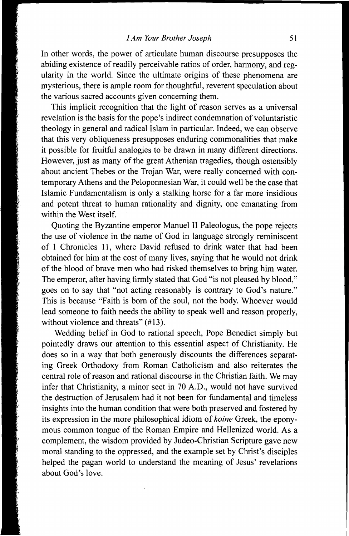In other words, the power of articulate human discourse presupposes the abiding existence of readily perceivable ratios of order, harmony, and regularity in the world. Since the ultimate origins of these phenomena are mysterious, there is ample room for thoughtful, reverent speculation about the various sacred accounts given concerning them.

This implicit recognition that the light of reason serves as a universal revelation is the basis for the pope's indirect condemnation of voluntaristic theology in general and radical Islam in particular. Indeed, we can observe that this very obliqueness presupposes enduring commonalities that make it possible for fruitful analogies to be drawn in many different directions. However, just as many of the great Athenian tragedies, though ostensibly about ancient Thebes or the Trojan War, were really concerned with contemporary Athens and the Peloponnesian War, it could well be the case that Islamic Fundamentalism is only a stalking horse for a far more insidious and potent threat to human rationality and dignity, one emanating from within the West itself.

Quoting the Byzantine emperor Manuel II Paleologus, the pope rejects the use of violence in the name of God in language strongly reminiscent of 1 Chronicles 11, where David refused to drink water that had been obtained for him at the cost of many lives, saying that he would not drink of the blood of brave men who had risked themselves to bring him water. The emperor, after having firmly stated that God "is not pleased by blood," goes on to say that "not acting reasonably is contrary to God's nature." This is because "Faith is born of the soul, not the body. Whoever would lead someone to faith needs the ability to speak well and reason properly, without violence and threats" (#13).

Wedding belief in God to rational speech, Pope Benedict simply but pointedly draws our attention to this essential aspect of Christianity. He does so in a way that both generously discounts the differences separating Greek Orthodoxy from Roman Catholicism and also reiterates the central role of reason and rational discourse in the Christian faith. We may infer that Christianity, a minor sect in 70 A.D., would not have survived the destruction of Jerusalem had it not been for fundamental and timeless insights into the human condition that were both preserved and fostered by its expression in the more philosophical idiom of *koine* Greek, the eponymous common tongue of the Roman Empire and Hellenized world. As a complement, the wisdom provided by Judeo-Christian Scripture gave new moral standing to the oppressed, and the example set by Christ's disciples helped the pagan world to understand the meaning of Jesus' revelations about God's love.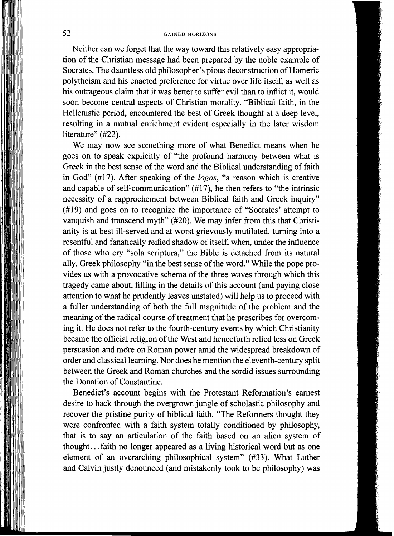Neither can we forget that the way toward this relatively easy appropriation of the Christian message had been prepared by the noble example of Socrates. The dauntless old philosopher's pious deconstruction of Homeric polytheism and his enacted preference for virtue over life itself, as well as his outrageous claim that it was better to suffer evil than to inflict it, would soon become central aspects of Christian morality. "Biblical faith, in the Hellenistic period, encountered the best of Greek thought at a deep level, resulting in a mutual enrichment evident especially in the later wisdom literature" (#22).

We may now see something more of what Benedict means when he goes on to speak explicitly of "the profound harmony between what is Greek in the best sense of the word and the Biblical understanding of faith in God" (#17). After speaking of the *logos,* "a reason which is creative and capable of self-communication" (#17), he then refers to "the intrinsic necessity of a rapprochement between Biblical faith and Greek inquiry" (#19) and goes on to recognize the importance of "Socrates' attempt to vanquish and transcend myth" (#20). We may infer from this that Christianity is at best ill-served and at worst grievously mutilated, turning into a resentful and fanatically reified shadow of itself, when, under the influence of those who cry "sola scriptura," the Bible is detached from its natural ally, Greek philosophy "in the best sense of the word." While the pope provides us with a provocative schema of the three waves through which this tragedy came about, filling in the details of this account (and paying close attention to what he prudently leaves unstated) will help us to proceed with a fuller understanding of both the full magnitude of the problem and the meaning of the radical course of treatment that he prescribes for overcoming it. He does not refer to the fourth-century events by which Christianity became the official religion of the West and henceforth relied less on Greek persuasion and more on Roman power amid the widespread breakdown of order and classical learning. Nor does he mention the eleventh-century split between the Greek and Roman churches and the sordid issues surrounding the Donation of Constantine.

Benedict's account begins with the Protestant Reformation's earnest desire to hack through the overgrown jungle of scholastic philosophy and recover the pristine purity of biblical faith. "The Reformers thought they were confronted with a faith system totally conditioned by philosophy, that is to say an articulation of the faith based on an alien system of thought ... faith no longer appeared as a living historical word but as one element of an overarching philosophical system" (#33). What Luther and Calvin justly denounced (and mistakenly took to be philosophy) was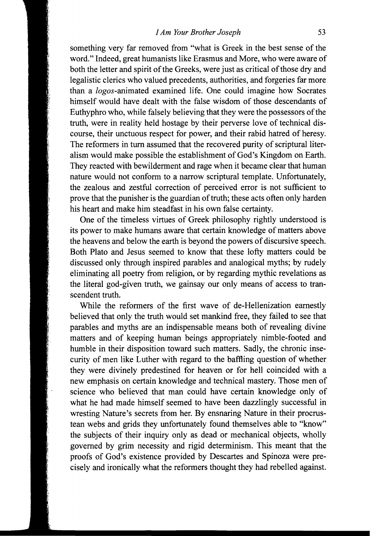something very far removed from "what is Greek in the best sense of the word." Indeed, great humanists like Erasmus and More, who were aware of both the letter and spirit of the Greeks, were just as critical of those dry and legalistic clerics who valued precedents, authorities, and forgeries far more than a *logos*-animated examined life. One could imagine how Socrates himself would have dealt with the false wisdom of those descendants of Euthyphro who, while falsely believing that they were the possessors of the truth, were in reality held hostage by their perverse love of technical discourse, their unctuous respect for power, and their rabid hatred of heresy. The reformers in turn assumed that the recovered purity of scriptural literalism would make possible the establishment of God's Kingdom on Earth. They reacted with bewilderment and rage when it became clear that human nature would not conform to a narrow scriptural template. Unfortunately, the zealous and zestful correction of perceived error is not sufficient to prove that the punisher is the guardian of truth; these acts often only harden his heart and make him steadfast in his own false certainty.

One of the timeless virtues of Greek philosophy rightly understood is its power to make humans aware that certain knowledge of matters above the heavens and below the earth is beyond the powers of discursive speech. Both Plato and Jesus seemed to know that these lofty matters could be discussed only through inspired parables and analogical myths; by rudely eliminating all poetry from religion, or by regarding mythic revelations as the literal god-given truth, we gainsay our only means of access to transcendent truth.

While the reformers of the first wave of de-Hellenization earnestly believed that only the truth would set mankind free, they failed to see that parables and myths are an indispensable means both of revealing divine matters and of keeping human beings appropriately nimble-footed and humble in their disposition toward such matters. Sadly, the chronic insecurity of men like Luther with regard to the baffling question of whether they were divinely predestined for heaven or for hell coincided with a new emphasis on certain knowledge and technical mastery. Those men of science who believed that man could have certain knowledge only of what he had made himself seemed to have been dazzlingly successful in wresting Nature's secrets from her. By ensnaring Nature in their procrustean webs and grids they unfortunately found themselves able to "know" the subjects of their inquiry only as dead or mechanical objects, wholly governed by grim necessity and rigid determinism. This meant that the proofs of God's existence provided by Descartes and Spinoza were precisely and ironically what the reformers thought they had rebelled against.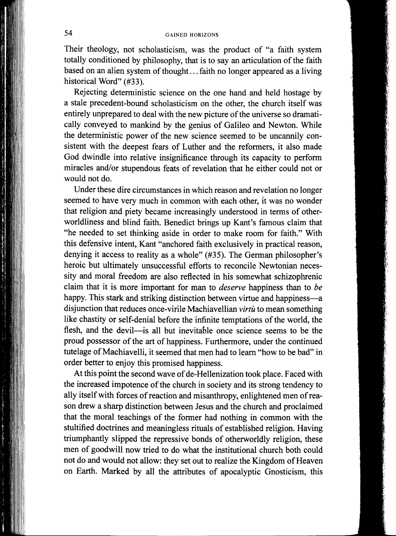Their theology, not scholasticism, was the product of "a faith system totally conditioned by philosophy, that is to say an articulation of the faith based on an alien system of thought ... faith no longer appeared as a living historical Word" (#33).

Rejecting deterministic science on the one hand and held hostage by a stale precedent-bound scholasticism on the other, the church itself was entirely unprepared to deal with the new picture of the universe so dramatically conveyed to mankind by the genius of Galileo and Newton. While the deterministic power of the new science seemed to be uncannily consistent with the deepest fears of Luther and the reformers, it also made God dwindle into relative insignificance through its capacity to perform miracles and/or stupendous feats of revelation that he either could not or would not do.

Under these dire circumstances in which reason and revelation no longer seemed to have very much in common with each other, it was no wonder that religion and piety became increasingly understood in terms of otherworldliness and blind faith. Benedict brings up Kant's famous claim that "he needed to set thinking aside in order to make room for faith." With this defensive intent, Kant "anchored faith exclusively in practical reason, denying it access to reality as a whole" (#35). The German philosopher's heroic but ultimately unsuccessful efforts to reconcile Newtonian necessity and moral freedom are also reflected in his somewhat schizophrenic claim that it is more important for man to *deserve* happiness than to *be*  happy. This stark and striking distinction between virtue and happiness-a disjunction that reduces once-virile Machiavellian *virtu* to mean something like chastity or self-denial before the infinite temptations of the world, the flesh, and the devil-is all but inevitable once science seems to be the proud possessor of the art of happiness. Furthermore, under the continued tutelage of Machiavelli, it seemed that men had to learn "how to be bad" in order better to enjoy this promised happiness.

At this point the second wave of de-Hellenization took place. Faced with the increased impotence of the church in society and its strong tendency to ally itself with forces of reaction and misanthropy, enlightened men of reason drew a sharp distinction between Jesus and the church and proclaimed that the moral teachings of the former had nothing in common with the stultified doctrines and meaningless rituals of established religion. Having triumphantly slipped the repressive bonds of otherworldly religion, these men of goodwill now tried to do what the institutional church both could not do and would not allow: they set out to realize the Kingdom of Heaven on Earth. Marked by all the attributes of apocalyptic Gnosticism, this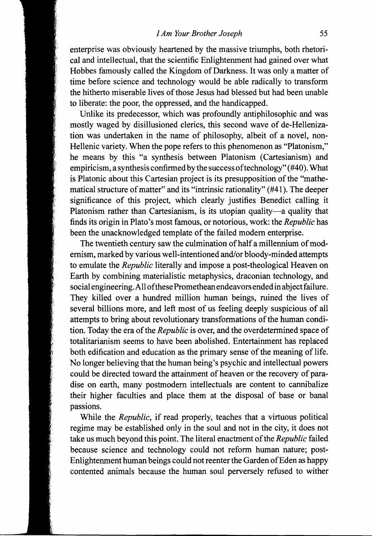enterprise was obviously heartened by the massive triumphs, both rhetorical and intellectual, that the scientific Enlightenment had gained over what Hobbes famously called the Kingdom of Darkness. It was only a matter of time before science and technology would be able radically to transform the hitherto miserable lives of those Jesus had blessed but had been unable to liberate: the poor, the oppressed, and the handicapped.

Unlike its predecessor, which was profoundly antiphilosophic and was mostly waged by disillusioned clerics, this second wave of de-Hellenization was undertaken in the name of philosophy, albeit of a novel, non-Hellenic variety. When the pope refers to this phenomenon as "Platonism," he means by this "a synthesis between Platonism (Cartesianism) and empiricism, a synthesis confirmed by the success of technology" ( $#40$ ). What is Platonic about this Cartesian project is its presupposition of the "mathematical structure of matter" and its "intrinsic rationality" (#41). The deeper significance of this project, which clearly justifies Benedict calling it Platonism rather than Cartesianism, is its utopian quality-a quality that finds its origin in Plato's most famous, or notorious, work: the *Republic* has been the unacknowledged template of the failed modem enterprise.

The twentieth century saw the culmination of half a millennium of modernism, marked by various well-intentioned and/or bloody-minded attempts to emulate the *Republic* literally and impose a post-theological Heaven on Earth by combining materialistic metaphysics, draconian technology, and social engineering. All of these Promethean endeavors ended in abject failure. They killed over a hundred million human beings, ruined the lives of several billions more, and left most of us feeling deeply suspicious of all attempts to bring about revolutionary transformations of the human condition. Today the era of the *Republic* is over, and the overdetermined space of totalitarianism seems to have been abolished. Entertainment has replaced both edification and education as the primary sense of the meaning of life. No longer believing that the human being's psychic and intellectual powers could be directed toward the attainment of heaven or the recovery of paradise on earth, many postmodern intellectuals are content to cannibalize their higher faculties and place them at the disposal of base or banal passions.

While the *Republic,* if read properly, teaches that a virtuous political regime may be established only in the soul and not in the city, it does not take us much beyond this point. The literal enactment of the *Republic* failed because science and technology could not reform human nature; post-Enlightenment human beings could not reenter the Garden of Eden as happy contented animals because the human soul perversely refused to wither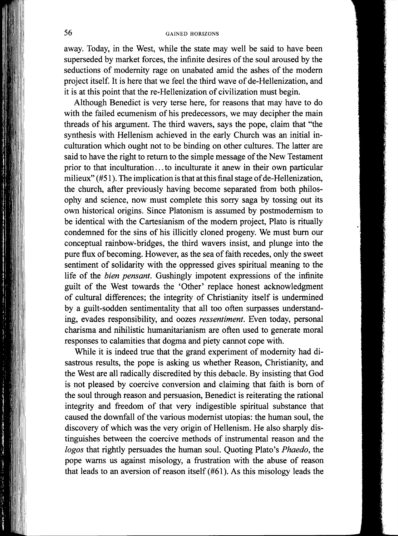away. Today, in the West, while the state may well be said to have been superseded by market forces, the infinite desires of the soul aroused by the seductions of modernity rage on unabated amid the ashes of the modern project itself. It is here that we feel the third wave of de-Hellenization, and it is at this point that the re-Hellenization of civilization must begin.

Although Benedict is very terse here, for reasons that may have to do with the failed ecumenism of his predecessors, we may decipher the main threads of his argument. The third wavers, says the pope, claim that "the synthesis with Hellenism achieved in the early Church was an initial inculturation which ought not to be binding on other cultures. The latter are said to have the right to return to the simple message of the New Testament prior to that inculturation ... to inculturate it anew in their own particular milieux" (#51). The implication is that at this final stage of de-Hellenization, the church, after previously having become separated from both philosophy and science, now must complete this sorry saga by tossing out its own historical origins. Since Platonism is assumed by postmodernism to be identical with the Cartesianism of the modern project, Plato is ritually condemned for the sins of his illicitly cloned progeny. We must burn our conceptual rainbow-bridges, the third wavers insist, and plunge into the pure flux of becoming. However, as the sea of faith recedes, only the sweet sentiment of solidarity with the oppressed gives spiritual meaning to the life of the *bien pensant.* Gushingly impotent expressions of the infinite guilt of the West towards the 'Other' replace honest acknowledgment of cultural differences; the integrity of Christianity itself is undermined by a guilt-sodden sentimentality that all too often surpasses understanding, evades responsibility, and oozes *ressentiment.* Even today, personal charisma and nihilistic humanitarianism are often used to generate moral responses to calamities that dogma and piety cannot cope with.

While it is indeed true that the grand experiment of modernity had disastrous results, the pope is asking us whether Reason, Christianity, and the West are all radically discredited by this debacle. By insisting that God is not pleased by coercive conversion and claiming that faith is born of the soul through reason and persuasion, Benedict is reiterating the rational integrity and freedom of that very indigestible spiritual substance that caused the downfall of the various modernist utopias: the human soul, the discovery of which was the very origin of Hellenism. He also sharply distinguishes between the coercive methods of instrumental reason and the *logos* that rightly persuades the human soul. Quoting Plato's *Phaedo,* the pope warns us against misology, a frustration with the abuse of reason that leads to an aversion of reason itself (#61 ). As this misology leads the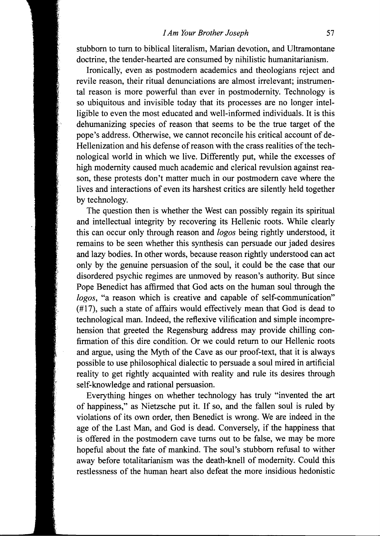stubborn to tum to biblical literalism, Marian devotion, and Ultramontane doctrine, the tender-hearted are consumed by nihilistic humanitarianism.

Ironically, even as postmodern academics and theologians reject and revile reason, their ritual denunciations are almost irrelevant; instrumental reason is more powerful than ever in postmodemity. Technology is so ubiquitous and invisible today that its processes are no longer intelligible to even the most educated and well-informed individuals. It is this dehumanizing species of reason that seems to be the true target of the pope's address. Otherwise, we cannot reconcile his critical account of de-Hellenization and his defense of reason with the crass realities of the technological world in which we live. Differently put, while the excesses of high modernity caused much academic and clerical revulsion against reason, these protests don't matter much in our postmodern cave where the lives and interactions of even its harshest critics are silently held together by technology.

The question then is whether the West can possibly regain its spiritual and intellectual integrity by recovering its Hellenic roots. While clearly this can occur only through reason and *logos* being rightly understood, it remains to be seen whether this synthesis can persuade our jaded desires and lazy bodies. In other words, because reason rightly understood can act only by the genuine persuasion of the soul, it could be the case that our disordered psychic regimes are unmoved by reason's authority. But since Pope Benedict has affirmed that God acts on the human soul through the *logos*, "a reason which is creative and capable of self-communication" (#17), such a state of affairs would effectively mean that God is dead to technological man. Indeed, the reflexive vilification and simple incomprehension that greeted the Regensburg address may provide chilling confirmation of this dire condition. Or we could return to our Hellenic roots and argue, using the Myth of the Cave as our proof-text, that it is always possible to use philosophical dialectic to persuade a soul mired in artificial reality to get rightly acquainted with reality and rule its desires through self-knowledge and rational persuasion.

Everything hinges on whether technology has truly "invented the art of happiness," as Nietzsche put it. If so, and the fallen soul is ruled by violations of its own order, then Benedict is wrong. We are indeed in the age of the Last Man, and God is dead. Conversely, if the happiness that is offered in the postmodern cave turns out to be false, we may be more hopeful about the fate of mankind. The soul's stubborn refusal to wither away before totalitarianism was the death-knell of modernity. Could this restlessness of the human heart also defeat the more insidious hedonistic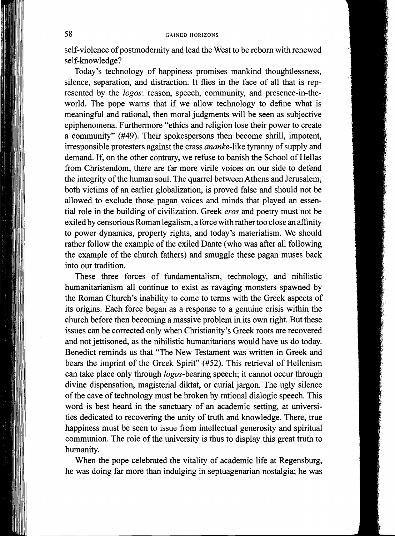self-violence of postmodernity and lead the West to be reborn with renewed self-knowledge?

Today's technology of happiness promises mankind thoughtlessness, silence, separation, and distraction. It flies in the face of all that is represented by the *logos:* reason, speech, community, and presence-in-theworld. The pope warns that if we allow technology to define what is meaningful and rational, then moral judgments will be seen as subjective epiphenomena. Furthermore "ethics and religion lose their power to create a community" (#49). Their spokespersons then become shrill, impotent, irresponsible protesters against the crass *ananke-like* tyranny of supply and demand. If, on the other contrary, we refuse to banish the School of Hellas from Christendom, there are far more virile voices on our side to defend the integrity of the human soul. The quarrel between Athens and Jerusalem, both victims of an earlier globalization, is proved false and should not be allowed to exclude those pagan voices and minds that played an essential role in the building of civilization. Greek *eros* and poetry must not be exiled by censorious Roman legalism, a force with rather too close an affinity to power dynamics, property rights, and today's materialism. We should rather follow the example of the exiled Dante (who was after all following the example of the church fathers) and smuggle these pagan muses back into our tradition.

These three forces of fundamentalism, technology, and nihilistic humanitarianism all continue to exist as ravaging monsters spawned by the Roman Church's inability to come to terms with the Greek aspects of its origins. Each force began as a response to a genuine crisis within the church before then becoming a massive problem in its own right. But these issues can be corrected only when Christianity's Greek roots are recovered and not jettisoned, as the nihilistic humanitarians would have us do today. Benedict reminds us that "The New Testament was written in Greek and bears the imprint of the Greek Spirit" (#52). This retrieval of Hellenism can take place only through logos-bearing speech; it cannot occur through divine dispensation, magisterial diktat, or curial jargon. The ugly silence of the cave of technology must be broken by rational dialogic speech. This word is best heard in the sanctuary of an academic setting, at universities dedicated to recovering the unity of truth and knowledge. There, true happiness must be seen to issue from intellectual generosity and spiritual communion. The role of the university is thus to display this great truth to humanity.

When the pope celebrated the vitality of academic life at Regensburg, he was doing far more than indulging in septuagenarian nostalgia; he was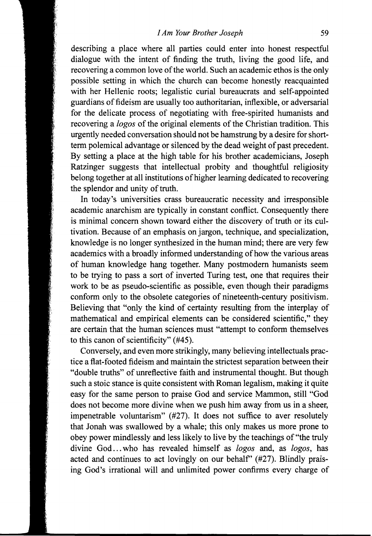describing a place where all parties could enter into honest respectful dialogue with the intent of finding the truth, living the good life, and recovering a common love of the world. Such an academic ethos is the only possible setting in which the church can become honestly reacquainted with her Hellenic roots; legalistic curial bureaucrats and self-appointed guardians of fideism are usually too authoritarian, inflexible, or adversarial for the delicate process of negotiating with free-spirited humanists and recovering a *logos* of the original elements of the Christian tradition. This urgently needed conversation should not be hamstrung by a desire for shortterm polemical advantage or silenced by the dead weight of past precedent. By setting a place at the high table for his brother academicians, Joseph Ratzinger suggests that intellectual probity and thoughtful religiosity belong together at all institutions of higher learning dedicated to recovering the splendor and unity of truth.

In today's universities crass bureaucratic necessity and irresponsible academic anarchism are typically in constant conflict. Consequently there is minimal concern shown toward either the discovery of truth or its cultivation. Because of an emphasis on jargon, technique, and specialization, knowledge is no longer synthesized in the human mind; there are very few academics with a broadly informed understanding of how the various areas of human knowledge hang together. Many postmodern humanists seem to be trying to pass a sort of inverted Turing test, one that requires their work to be as pseudo-scientific as possible, even though their paradigms conform only to the obsolete categories of nineteenth-century positivism. Believing that "only the kind of certainty resulting from the interplay of mathematical and empirical elements can be considered scientific," they are certain that the human sciences must "attempt to conform themselves to this canon of scientificity" (#45).

Conversely, and even more strikingly, many believing intellectuals practice a flat-footed fideism and maintain the strictest separation between their "double truths" of unreflective faith and instrumental thought. But though such a stoic stance is quite consistent with Roman legalism, making it quite easy for the same person to praise God and service Mammon, still "God does not become more divine when we push him away from us in a sheer, impenetrable voluntarism" (#27). It does not suffice to aver resolutely that Jonah was swallowed by a whale; this only makes us more prone to obey power mindlessly and less likely to live by the teachings of"the truly divine God ... who has revealed himself as *logos* and, as *logos,* has acted and continues to act lovingly on our behalf' (#27). Blindly praising God's irrational will and unlimited power confirms every charge of